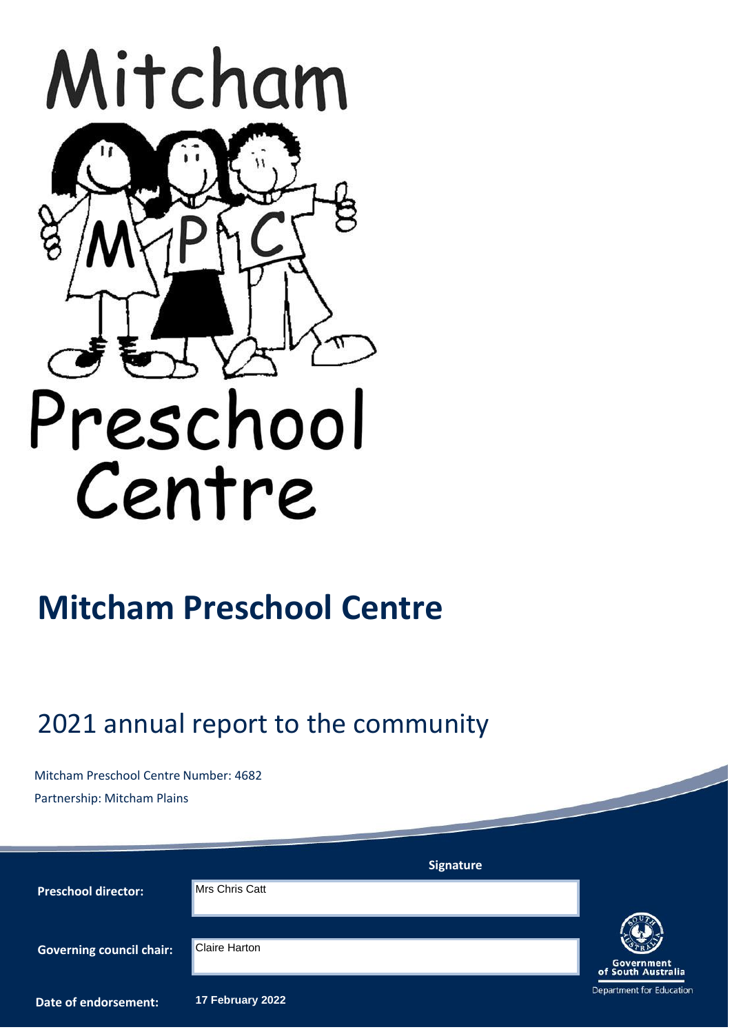

# **Mitcham Preschool Centre**

## 2021 annual report to the community

| Mitcham Preschool Centre Number: 4682<br>Partnership: Mitcham Plains |                      |                  |                                  |
|----------------------------------------------------------------------|----------------------|------------------|----------------------------------|
|                                                                      |                      | <b>Signature</b> |                                  |
| <b>Preschool director:</b>                                           | Mrs Chris Catt       |                  |                                  |
| <b>Governing council chair:</b>                                      | <b>Claire Harton</b> |                  |                                  |
|                                                                      |                      |                  | Government<br>of South Australia |
| <b>Date of endorsement:</b>                                          | 17 February 2022     |                  | <b>Department for Education</b>  |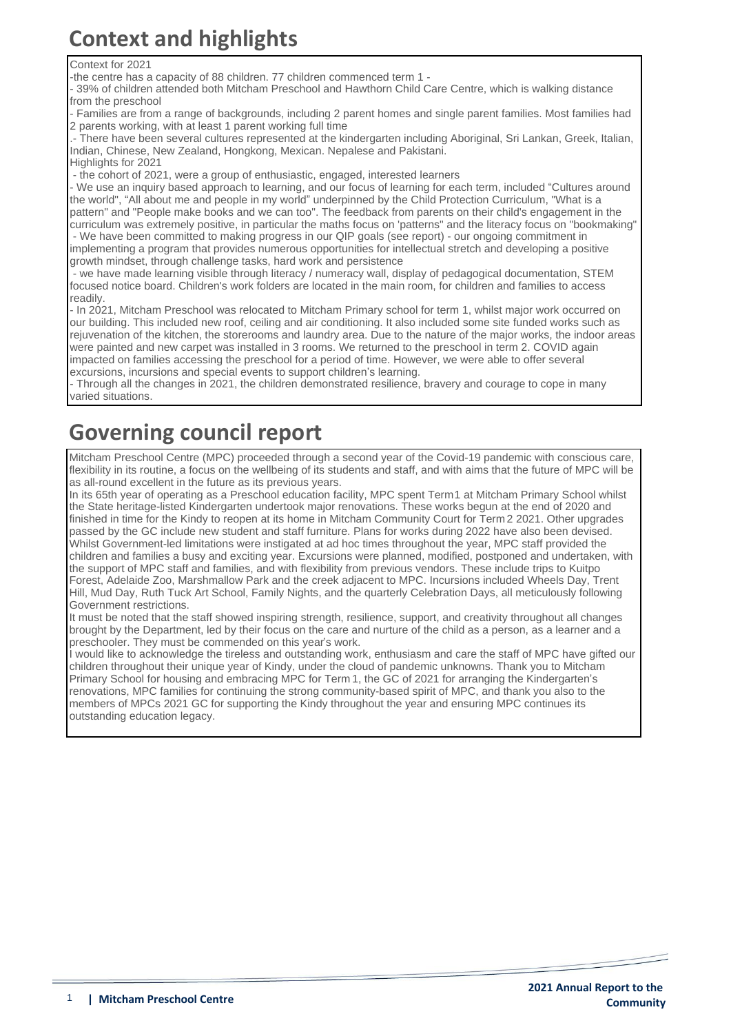### **Context and highlights**

#### Context for 2021

-the centre has a capacity of 88 children. 77 children commenced term 1 -

- 39% of children attended both Mitcham Preschool and Hawthorn Child Care Centre, which is walking distance from the preschool

- Families are from a range of backgrounds, including 2 parent homes and single parent families. Most families had 2 parents working, with at least 1 parent working full time

.- There have been several cultures represented at the kindergarten including Aboriginal, Sri Lankan, Greek, Italian, Indian, Chinese, New Zealand, Hongkong, Mexican. Nepalese and Pakistani.

Highlights for 2021

- the cohort of 2021, were a group of enthusiastic, engaged, interested learners

- We use an inquiry based approach to learning, and our focus of learning for each term, included "Cultures around the world", "All about me and people in my world" underpinned by the Child Protection Curriculum, "What is a pattern" and "People make books and we can too". The feedback from parents on their child's engagement in the curriculum was extremely positive, in particular the maths focus on 'patterns" and the literacy focus on "bookmaking"

 - We have been committed to making progress in our QIP goals (see report) - our ongoing commitment in implementing a program that provides numerous opportunities for intellectual stretch and developing a positive growth mindset, through challenge tasks, hard work and persistence

 - we have made learning visible through literacy / numeracy wall, display of pedagogical documentation, STEM focused notice board. Children's work folders are located in the main room, for children and families to access readily.

- In 2021, Mitcham Preschool was relocated to Mitcham Primary school for term 1, whilst major work occurred on our building. This included new roof, ceiling and air conditioning. It also included some site funded works such as rejuvenation of the kitchen, the storerooms and laundry area. Due to the nature of the major works, the indoor areas were painted and new carpet was installed in 3 rooms. We returned to the preschool in term 2. COVID again impacted on families accessing the preschool for a period of time. However, we were able to offer several excursions, incursions and special events to support children's learning.

- Through all the changes in 2021, the children demonstrated resilience, bravery and courage to cope in many varied situations.

### **Governing council report**

Mitcham Preschool Centre (MPC) proceeded through a second year of the Covid-19 pandemic with conscious care, flexibility in its routine, a focus on the wellbeing of its students and staff, and with aims that the future of MPC will be as all-round excellent in the future as its previous years.

In its 65th year of operating as a Preschool education facility, MPC spent Term 1 at Mitcham Primary School whilst the State heritage-listed Kindergarten undertook major renovations. These works begun at the end of 2020 and finished in time for the Kindy to reopen at its home in Mitcham Community Court for Term 2 2021. Other upgrades passed by the GC include new student and staff furniture. Plans for works during 2022 have also been devised. Whilst Government-led limitations were instigated at ad hoc times throughout the year, MPC staff provided the children and families a busy and exciting year. Excursions were planned, modified, postponed and undertaken, with the support of MPC staff and families, and with flexibility from previous vendors. These include trips to Kuitpo Forest, Adelaide Zoo, Marshmallow Park and the creek adjacent to MPC. Incursions included Wheels Day, Trent Hill, Mud Day, Ruth Tuck Art School, Family Nights, and the quarterly Celebration Days, all meticulously following Government restrictions.

It must be noted that the staff showed inspiring strength, resilience, support, and creativity throughout all changes brought by the Department, led by their focus on the care and nurture of the child as a person, as a learner and a preschooler. They must be commended on this year's work.

I would like to acknowledge the tireless and outstanding work, enthusiasm and care the staff of MPC have gifted our children throughout their unique year of Kindy, under the cloud of pandemic unknowns. Thank you to Mitcham Primary School for housing and embracing MPC for Term 1, the GC of 2021 for arranging the Kindergarten's renovations, MPC families for continuing the strong community-based spirit of MPC, and thank you also to the members of MPCs 2021 GC for supporting the Kindy throughout the year and ensuring MPC continues its outstanding education legacy.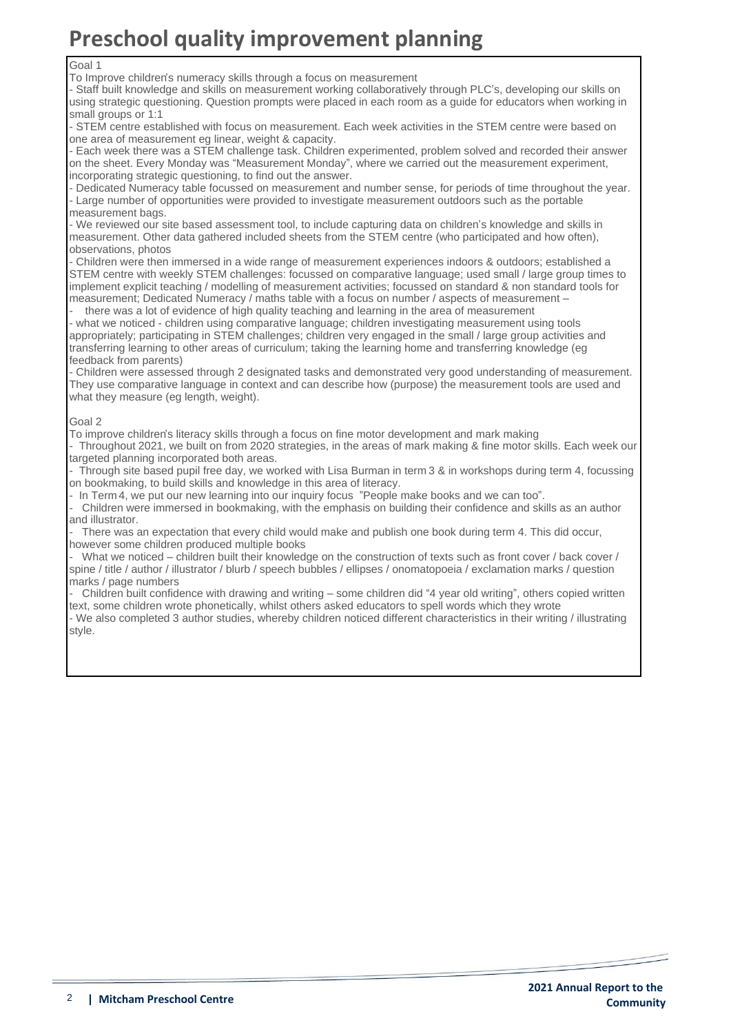### **Preschool quality improvement planning**

#### Goal 1

To Improve children's numeracy skills through a focus on measurement

- Staff built knowledge and skills on measurement working collaboratively through PLC's, developing our skills on using strategic questioning. Question prompts were placed in each room as a guide for educators when working in small groups or 1:1

- STEM centre established with focus on measurement. Each week activities in the STEM centre were based on one area of measurement eg linear, weight & capacity.

- Each week there was a STEM challenge task. Children experimented, problem solved and recorded their answer on the sheet. Every Monday was "Measurement Monday", where we carried out the measurement experiment, incorporating strategic questioning, to find out the answer.

- Dedicated Numeracy table focussed on measurement and number sense, for periods of time throughout the year. - Large number of opportunities were provided to investigate measurement outdoors such as the portable measurement bags.

- We reviewed our site based assessment tool, to include capturing data on children's knowledge and skills in measurement. Other data gathered included sheets from the STEM centre (who participated and how often), observations, photos

- Children were then immersed in a wide range of measurement experiences indoors & outdoors; established a STEM centre with weekly STEM challenges: focussed on comparative language; used small / large group times to implement explicit teaching / modelling of measurement activities; focussed on standard & non standard tools for measurement; Dedicated Numeracy / maths table with a focus on number / aspects of measurement –

there was a lot of evidence of high quality teaching and learning in the area of measurement - what we noticed - children using comparative language; children investigating measurement using tools appropriately; participating in STEM challenges; children very engaged in the small / large group activities and transferring learning to other areas of curriculum; taking the learning home and transferring knowledge (eg feedback from parents)

- Children were assessed through 2 designated tasks and demonstrated very good understanding of measurement. They use comparative language in context and can describe how (purpose) the measurement tools are used and what they measure (eg length, weight).

#### Goal 2

To improve children's literacy skills through a focus on fine motor development and mark making

- Throughout 2021, we built on from 2020 strategies, in the areas of mark making & fine motor skills. Each week our targeted planning incorporated both areas.

- Through site based pupil free day, we worked with Lisa Burman in term 3 & in workshops during term 4, focussing on bookmaking, to build skills and knowledge in this area of literacy.

- In Term 4, we put our new learning into our inquiry focus "People make books and we can too".

- Children were immersed in bookmaking, with the emphasis on building their confidence and skills as an author and illustrator.

There was an expectation that every child would make and publish one book during term 4. This did occur, however some children produced multiple books

What we noticed – children built their knowledge on the construction of texts such as front cover / back cover / spine / title / author / illustrator / blurb / speech bubbles / ellipses / onomatopoeia / exclamation marks / question marks / page numbers

- Children built confidence with drawing and writing – some children did "4 year old writing", others copied written text, some children wrote phonetically, whilst others asked educators to spell words which they wrote - We also completed 3 author studies, whereby children noticed different characteristics in their writing / illustrating style.

**2021 Annual Report to the**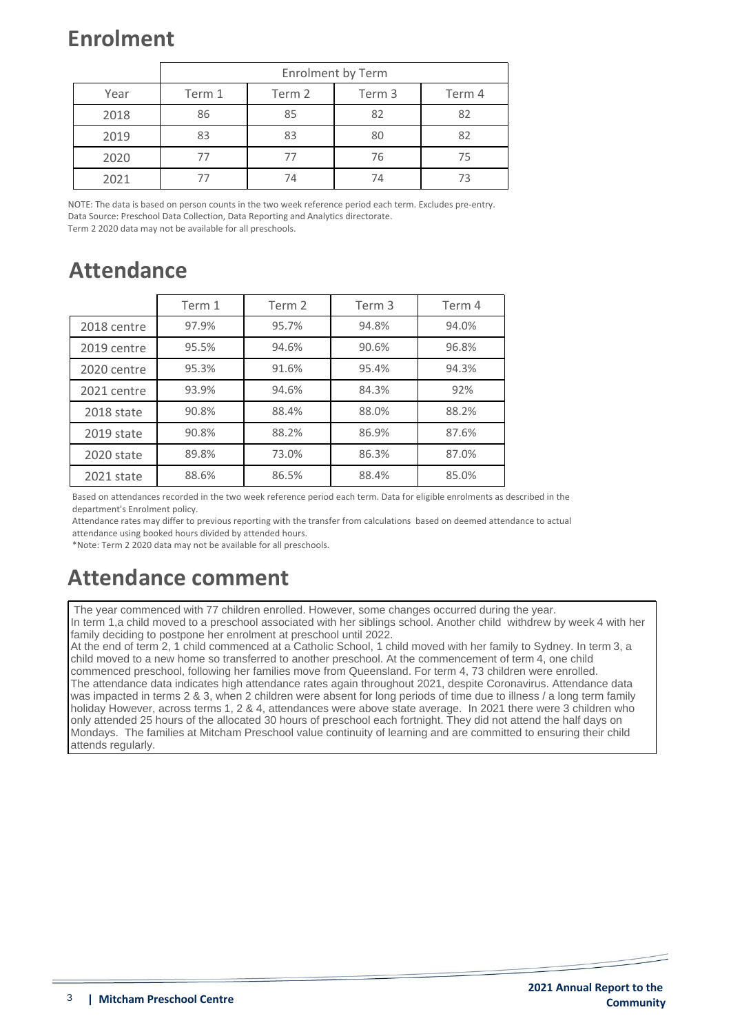#### **Enrolment**

|      | Enrolment by Term |        |        |        |
|------|-------------------|--------|--------|--------|
| Year | Term 1            | Term 2 | Term 3 | Term 4 |
| 2018 | 86                | 85     | 82     | 82     |
| 2019 | 83                | 83     | 80     | 82     |
| 2020 |                   | 77     | 76     | 75     |
| 2021 |                   | 74     | 74     | 73     |

NOTE: The data is based on person counts in the two week reference period each term. Excludes pre-entry. Data Source: Preschool Data Collection, Data Reporting and Analytics directorate. Term 2 2020 data may not be available for all preschools.

#### **Attendance**

|             | Term 1 | Term 2 | Term 3 | Term 4 |
|-------------|--------|--------|--------|--------|
| 2018 centre | 97.9%  | 95.7%  | 94.8%  | 94.0%  |
| 2019 centre | 95.5%  | 94.6%  | 90.6%  | 96.8%  |
| 2020 centre | 95.3%  | 91.6%  | 95.4%  | 94.3%  |
| 2021 centre | 93.9%  | 94.6%  | 84.3%  | 92%    |
| 2018 state  | 90.8%  | 88.4%  | 88.0%  | 88.2%  |
| 2019 state  | 90.8%  | 88.2%  | 86.9%  | 87.6%  |
| 2020 state  | 89.8%  | 73.0%  | 86.3%  | 87.0%  |
| 2021 state  | 88.6%  | 86.5%  | 88.4%  | 85.0%  |

Based on attendances recorded in the two week reference period each term. Data for eligible enrolments as described in the department's Enrolment policy.

Attendance rates may differ to previous reporting with the transfer from calculations based on deemed attendance to actual attendance using booked hours divided by attended hours.

\*Note: Term 2 2020 data may not be available for all preschools.

#### **Attendance comment**

 The year commenced with 77 children enrolled. However, some changes occurred during the year. In term 1,a child moved to a preschool associated with her siblings school. Another child withdrew by week 4 with her family deciding to postpone her enrolment at preschool until 2022.

At the end of term 2, 1 child commenced at a Catholic School, 1 child moved with her family to Sydney. In term 3, a child moved to a new home so transferred to another preschool. At the commencement of term 4, one child commenced preschool, following her families move from Queensland. For term 4, 73 children were enrolled. The attendance data indicates high attendance rates again throughout 2021, despite Coronavirus. Attendance data was impacted in terms 2 & 3, when 2 children were absent for long periods of time due to illness / a long term family holiday However, across terms 1, 2 & 4, attendances were above state average. In 2021 there were 3 children who only attended 25 hours of the allocated 30 hours of preschool each fortnight. They did not attend the half days on Mondays. The families at Mitcham Preschool value continuity of learning and are committed to ensuring their child attends regularly.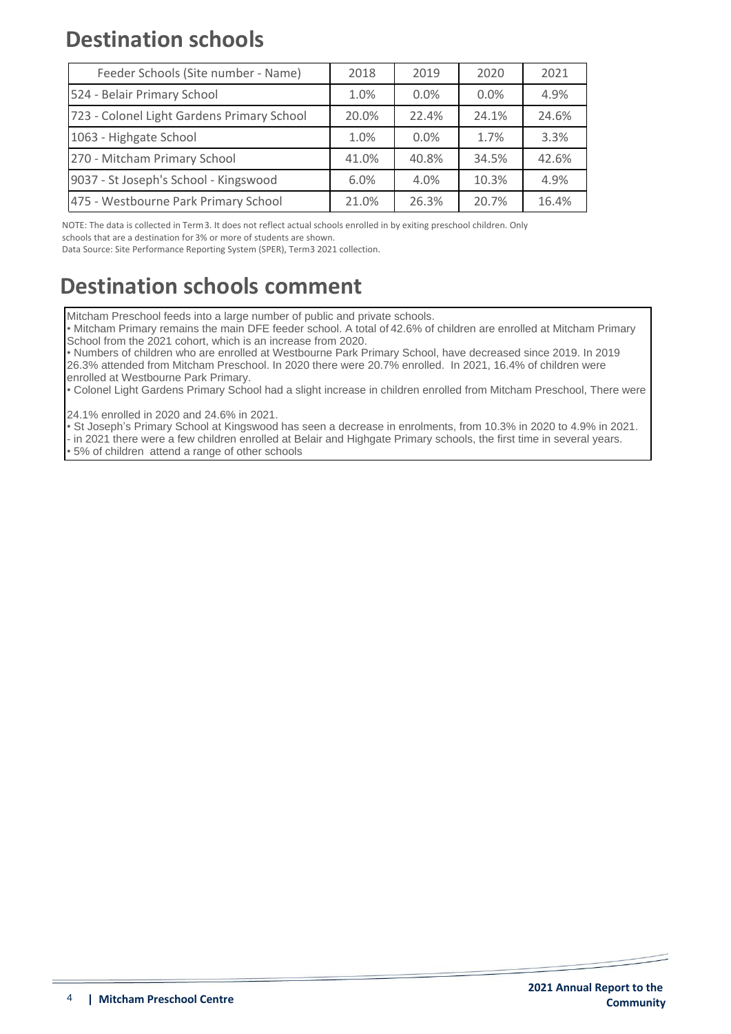### **Destination schools**

| Feeder Schools (Site number - Name)        | 2018  | 2019    | 2020  | 2021  |
|--------------------------------------------|-------|---------|-------|-------|
| 524 - Belair Primary School                | 1.0%  | 0.0%    | 0.0%  | 4.9%  |
| 723 - Colonel Light Gardens Primary School | 20.0% | 22.4%   | 24.1% | 24.6% |
| 1063 - Highgate School                     | 1.0%  | $0.0\%$ | 1.7%  | 3.3%  |
| 270 - Mitcham Primary School               | 41.0% | 40.8%   | 34.5% | 42.6% |
| 9037 - St Joseph's School - Kingswood      | 6.0%  | 4.0%    | 10.3% | 4.9%  |
| 475 - Westbourne Park Primary School       | 21.0% | 26.3%   | 20.7% | 16.4% |

NOTE: The data is collected in Term 3. It does not reflect actual schools enrolled in by exiting preschool children. Only schools that are a destination for 3% or more of students are shown.

Data Source: Site Performance Reporting System (SPER), Term3 2021 collection.

### **Destination schools comment**

Mitcham Preschool feeds into a large number of public and private schools.

• Mitcham Primary remains the main DFE feeder school. A total of 42.6% of children are enrolled at Mitcham Primary School from the 2021 cohort, which is an increase from 2020.

• Numbers of children who are enrolled at Westbourne Park Primary School, have decreased since 2019. In 2019 26.3% attended from Mitcham Preschool. In 2020 there were 20.7% enrolled. In 2021, 16.4% of children were enrolled at Westbourne Park Primary.

• Colonel Light Gardens Primary School had a slight increase in children enrolled from Mitcham Preschool, There were

24.1% enrolled in 2020 and 24.6% in 2021.

• St Joseph's Primary School at Kingswood has seen a decrease in enrolments, from 10.3% in 2020 to 4.9% in 2021. - in 2021 there were a few children enrolled at Belair and Highgate Primary schools, the first time in several years. 5% of children attend a range of other schools

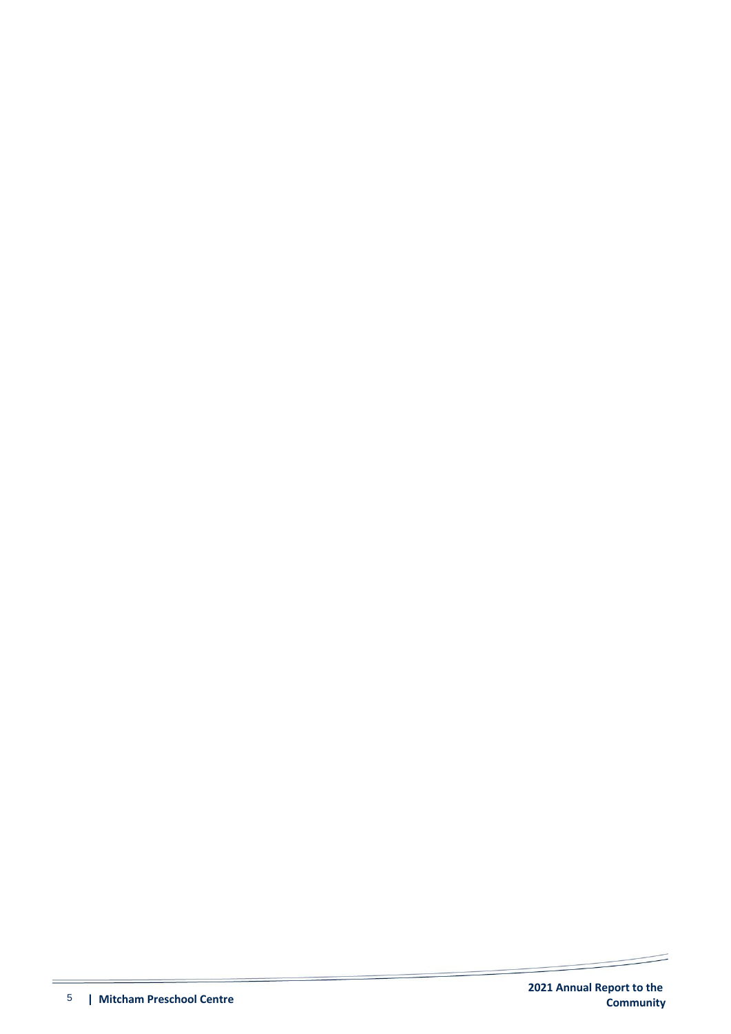$\sim$ 

 $\overline{\phantom{1}}$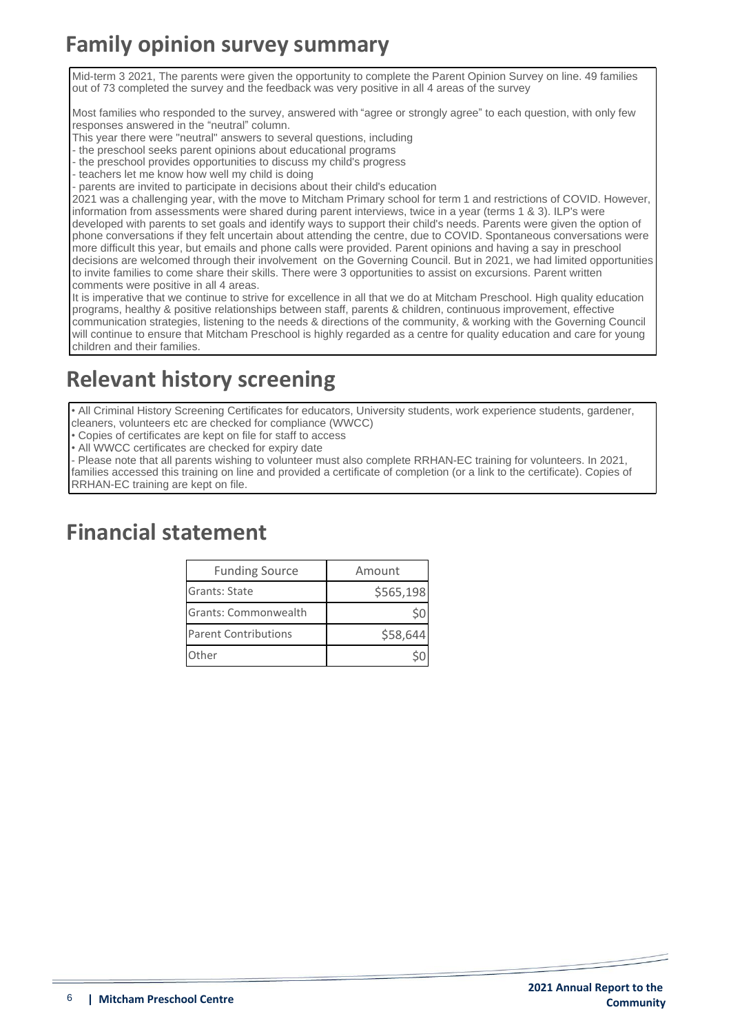#### **Family opinion survey summary**

Mid-term 3 2021, The parents were given the opportunity to complete the Parent Opinion Survey on line. 49 families out of 73 completed the survey and the feedback was very positive in all 4 areas of the survey

Most families who responded to the survey, answered with "agree or strongly agree" to each question, with only few responses answered in the "neutral" column.

This year there were "neutral" answers to several questions, including

- the preschool seeks parent opinions about educational programs
- the preschool provides opportunities to discuss my child's progress

- teachers let me know how well my child is doing

- parents are invited to participate in decisions about their child's education

2021 was a challenging year, with the move to Mitcham Primary school for term 1 and restrictions of COVID. However, information from assessments were shared during parent interviews, twice in a year (terms 1 & 3). ILP's were developed with parents to set goals and identify ways to support their child's needs. Parents were given the option of phone conversations if they felt uncertain about attending the centre, due to COVID. Spontaneous conversations were more difficult this year, but emails and phone calls were provided. Parent opinions and having a say in preschool decisions are welcomed through their involvement on the Governing Council. But in 2021, we had limited opportunities to invite families to come share their skills. There were 3 opportunities to assist on excursions. Parent written comments were positive in all 4 areas.

It is imperative that we continue to strive for excellence in all that we do at Mitcham Preschool. High quality education programs, healthy & positive relationships between staff, parents & children, continuous improvement, effective communication strategies, listening to the needs & directions of the community, & working with the Governing Council will continue to ensure that Mitcham Preschool is highly regarded as a centre for quality education and care for young children and their families.

#### **Relevant history screening**

• All Criminal History Screening Certificates for educators, University students, work experience students, gardener, cleaners, volunteers etc are checked for compliance (WWCC)

• Copies of certificates are kept on file for staff to access

• All WWCC certificates are checked for expiry date

- Please note that all parents wishing to volunteer must also complete RRHAN-EC training for volunteers. In 2021,

families accessed this training on line and provided a certificate of completion (or a link to the certificate). Copies of RRHAN-EC training are kept on file.

#### **Financial statement**

| <b>Funding Source</b>       | Amount    |
|-----------------------------|-----------|
| <b>Grants: State</b>        | \$565,198 |
| Grants: Commonwealth        |           |
| <b>Parent Contributions</b> | \$58,644  |
| Other                       |           |